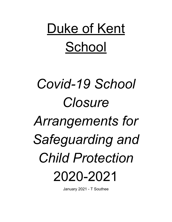Duke of Kent School

# Covid-19 School Closure **Arrangements for**

Safeguarding and **Child Protection** 2020-2021

January 2021 - T Southee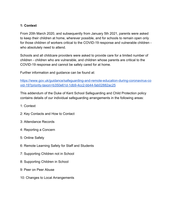## **1: Context**

From 20th March 2020, and subsequently from January 5th 2021, parents were asked to keep their children at home, wherever possible, and for schools to remain open only for those children of workers critical to the COVID-19 response and vulnerable children who absolutely need to attend.

Schools and all childcare providers were asked to provide care for a limited number of children - children who are vulnerable, and children whose parents are critical to the COVID-19 response and cannot be safely cared for at home.

Further information and guidance can be found at:

[https://www.gov.uk/guidance/safeguarding-and-remote-education-during-coronavirus-co](https://www.gov.uk/guidance/safeguarding-and-remote-education-during-coronavirus-covid-19?priority-taxon=b350e61d-1db9-4cc2-bb44-fab02882ac25) [vid-19?priority-taxon=b350e61d-1db9-4cc2-bb44-fab02882ac25](https://www.gov.uk/guidance/safeguarding-and-remote-education-during-coronavirus-covid-19?priority-taxon=b350e61d-1db9-4cc2-bb44-fab02882ac25)

This addendum of the Duke of Kent School Safeguarding and Child Protection policy contains details of our individual safeguarding arrangements in the following areas:

- 1: Context
- 2: Key Contacts and How to Contact
- 3: Attendance Records
- 4: Reporting a Concern
- 5: Online Safety
- 6: Remote Learning Safety for Staff and Students
- 7: Supporting Children not in School
- 8: Supporting Children in School
- 9: Peer on Peer Abuse
- 10: Changes to Local Arrangements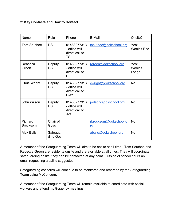## **2: Key Contacts and How to Contact**

| Name                       | Role                 | Phone                                                        | E-Mail                      | Onsite?                    |
|----------------------------|----------------------|--------------------------------------------------------------|-----------------------------|----------------------------|
| <b>Tom Southee</b>         | <b>DSL</b>           | 01483277313<br>- office will<br>direct call to<br><b>TS</b>  | tsouthee@dokschool.org      | Yes:<br><b>Woolpit End</b> |
| Rebecca<br>Green           | Deputy<br><b>DSL</b> | 01483277313<br>- office will<br>direct call to<br><b>RG</b>  | rgreen@dokschool.org        | Yes:<br>Woolpit<br>Lodge   |
| Chris Wright               | Deputy<br><b>DSL</b> | 01483277313<br>- office will<br>direct call to<br><b>CWr</b> | cwright@dokschool.org       | <b>No</b>                  |
| John Wilson                | Deputy<br><b>DSL</b> | 01483277313<br>- office will<br>direct call to<br><b>JW</b>  | jwilson@dokschool.org       | <b>No</b>                  |
| Richard<br><b>Brocksom</b> | Chair of<br>Govs     |                                                              | rbrocksom@dokschool.o<br>rg | <b>No</b>                  |
| <b>Alex Balls</b>          | Safeguar<br>ding Gov |                                                              | aballs@dokschool.org        | <b>No</b>                  |

A member of the Safeguarding Team will aim to be onsite at all time - Tom Southee and Rebecca Green are residents onsite and are available at all times. They will coordinate safeguarding onsite; they can be contacted at any point. Outside of school hours an email requesting a call is suggested.

Safeguarding concerns will continue to be monitored and recorded by the Safeguarding Team using MyConcern.

A member of the Safeguarding Team will remain available to coordinate with social workers and attend multi-agency meetings.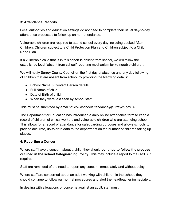## **3: Attendance Records**

Local authorities and education settings do not need to complete their usual day-to-day attendance processes to follow up on non-attendance.

Vulnerable children are required to attend school every day including Looked After Children, Children subject to a Child Protection Plan and Children subject to a Child In Need Plan.

If a vulnerable child that is in this cohort is absent from school, we will follow the established local "absent from school" reporting mechanism for vulnerable children.

We will notify Surrey County Council on the first day of absence and any day following, of children that are absent from school by providing the following details:

- School Name & Contact Person details
- Full Name of child
- Date of Birth of child
- When they were last seen by school staff

This must be submitted by email to: covidschoolattendance@surreycc.gov.uk

The Department for Education has introduced a daily online attendance form to keep a record of children of critical workers and vulnerable children who are attending school. This allows for a record of attendance for safeguarding purposes and allows schools to provide accurate, up-to-date data to the department on the number of children taking up places.

# **4: Reporting a Concern**

Where staff have a concern about a child, they should **continue to follow the process outlined in the school Safeguarding Policy**. This may include a report to the C-SPA if required.

Staff are reminded of the need to report any concern immediately and without delay.

Where staff are concerned about an adult working with children in the school, they should continue to follow our normal procedures and alert the headteacher immediately.

In dealing with allegations or concerns against an adult, staff must: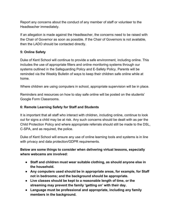Report any concerns about the conduct of any member of staff or volunteer to the Headteacher immediately.

If an allegation is made against the Headteacher, the concerns need to be raised with the Chair of Governor as soon as possible. If the Chair of Governors is not available, then the LADO should be contacted directly.

# **5: Online Safety**

Duke of Kent School will continue to provide a safe environment, including online. This includes the use of appropriate filters and online monitoring systems through our systems outlined in the Safeguarding Policy and E-Safety Policy. Parents will be reminded via the Weekly Bulletin of ways to keep their children safe online while at home.

Where children are using computers in school, appropriate supervision will be in place.

Reminders and resources on how to stay safe online will be posted on the students' Google Form Classrooms.

# **6: Remote Learning Safety for Staff and Students**

It is important that all staff who interact with children, including online, continue to look out for signs a child may be at risk. Any such concerns should be dealt with as per the Child Protection Policy and where appropriate referrals should still be made to the DSL, C-SPA, and as required, the police.

Duke of Kent School will ensure any use of online learning tools and systems is in line with privacy and data protection/GDPR requirements.

**Below are some things to consider when delivering virtual lessons, especially where webcams are involved:**

- **● Staff and children must wear suitable clothing, as should anyone else in the household.**
- **● Any computers used should be in appropriate areas, for example, for Staff not in bedrooms; and the background should be appropriate.**
- **● Live classes should be kept to a reasonable length of time, or the streaming may prevent the family 'getting on' with their day.**
- **● Language must be professional and appropriate, including any family members in the background.**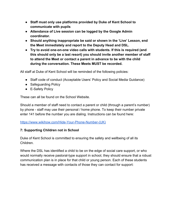- **● Staff must only use platforms provided by Duke of Kent School to communicate with pupils**
- **● Attendance of Live session can be logged by the Google Admin coordinator.**
- **● Should anything inappropriate be said or shown in the 'Live' Lesson, end the Meet immediately and report to the Deputy Head and DSL.**
- **● Try to avoid one-on-one video calls with students. If this is required (and this should only be a last resort) you should invite another member of staff to attend the Meet or contact a parent in advance to be with the child during the conversation. These Meets MUST be recorded.**

All staff at Duke of Kent School will be reminded of the following policies:

- Staff code of conduct (Acceptable Users' Policy and Social Media Guidance)
- Safeguarding Policy
- E-Safety Policy

These can all be found on the School Website.

Should a member of staff need to contact a parent or child (through a parent's number) by phone - staff may use their personal / home phone. To keep their number private enter 141 before the number you are dialing. Instructions can be found here:

[https://www.wikihow.com/Hide-Your-Phone-Number-\(UK\)](https://www.wikihow.com/Hide-Your-Phone-Number-(UK))

# **7: Supporting Children not in School**

Duke of Kent School is committed to ensuring the safety and wellbeing of all its Children.

Where the DSL has identified a child to be on the edge of social care support, or who would normally receive pastoral-type support in school, they should ensure that a robust communication plan is in place for that child or young person. Each of these students has received a message with contacts of those they can contact for support: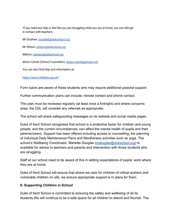'If you need any help or feel like you are struggling while you are at home, you can still get in contact with teachers:

Mr Southee: tsouthee@dokschool.org

Mr Wilson: jwilson@dokschool.org

Matron: csarjant@dokschool.org

Alison Colvile (School Counsellor): alison.colvile@gmail.com

You can also find help and information at:

https://www.childline.org.uk/'

Form tutors are aware of these students who may require additional pastoral support.

Further communication plans can include; remote contact and phone contact.

This plan must be reviewed regularly (at least once a fortnight) and where concerns arise, the DSL will consider any referrals as appropriate.

The school will share safeguarding messages on its website and social media pages.

Duke of Kent School recognises that school is a protective factor for children and young people, and the current circumstances, can affect the mental health of pupils and their parents/carers. Support has been offered including access to counselling, the planning of individual Daily Maintenance Plans and Mindfulness activities such as yoga. The school's Wellbeing Coordinator, Mariette Douglas ([mdouglas@dokschool.org](mailto:mdouglas@dokschool.org)) is available for advice to teachers and parents and intervention with those students who are struggling.

Staff at our school need to be aware of this in setting expectations of pupils' work where they are at home.

Duke of Kent School will ensure that where we care for children of critical workers and vulnerable children on site, we ensure appropriate support is in place for them.

#### **8: Supporting Children in School**

Duke of Kent School is committed to ensuring the safety and wellbeing of all its students.We will continue to be a safe space for all children to attend and flourish. The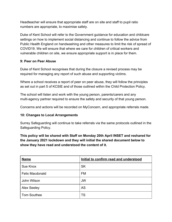Headteacher will ensure that appropriate staff are on site and staff to pupil ratio numbers are appropriate, to maximise safety.

Duke of Kent School will refer to the Government guidance for education and childcare settings on how to implement social distancing and continue to follow the advice from Public Health England on handwashing and other measures to limit the risk of spread of COVID19. We will ensure that where we care for children of critical workers and vulnerable children on site, we ensure appropriate support is in place for them.

## **9: Peer on Peer Abuse**

Duke of Kent School recognises that during the closure a revised process may be required for managing any report of such abuse and supporting victims.

Where a school receives a report of peer on peer abuse, they will follow the principles as set out in part 5 of KCSIE and of those outlined within the Child Protection Policy.

The school will listen and work with the young person, parents/carers and any multi-agency partner required to ensure the safety and security of that young person.

Concerns and actions will be recorded on MyConcern, and appropriate referrals made.

# **10: Changes to Local Arrangements**

Surrey Safeguarding will continue to take referrals via the same protocols outlined in the Safeguarding Policy.

**This policy will be shared with Staff on Monday 20th April INSET and reshared for the January 2021 lockdown and they will initial the shared document below to show they have read and understood the content of it.**

| <b>Name</b>            | Initial to confirm read and understood |
|------------------------|----------------------------------------|
| Sue Knox               | <b>SK</b>                              |
| <b>Felix Macdonald</b> | <b>FM</b>                              |
| John Wilson            | <b>JW</b>                              |
| <b>Alex Seeley</b>     | <b>AS</b>                              |
| <b>Tom Southee</b>     | TS                                     |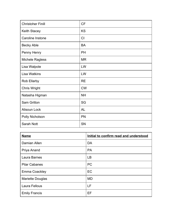| <b>Christoher Finill</b> | <b>CF</b> |
|--------------------------|-----------|
| Keith Stacey             | <b>KS</b> |
| Caroline Instone         | CI        |
| <b>Becky Able</b>        | <b>BA</b> |
| Penny Henry              | <b>PH</b> |
| Michele Ragless          | <b>MR</b> |
| Lisa Walpole             | LW        |
| <b>Lisa Watkins</b>      | LW        |
| Rob Ellarby              | <b>RE</b> |
| <b>Chris Wright</b>      | <b>CW</b> |
| Natasha Higman           | <b>NH</b> |
| Sam Gritton              | SG        |
| Alisoun Lock             | AL        |
| Polly Nicholson          | PN        |
| Sarah Nott               | SN        |

| <b>Name</b>             | Initial to confirm read and understood |
|-------------------------|----------------------------------------|
| Damian Allen            | <b>DA</b>                              |
| Priya Anand             | <b>PA</b>                              |
| Laura Barnes            | <b>LB</b>                              |
| <b>Pilar Cabanes</b>    | <b>PC</b>                              |
| <b>Emma Coackley</b>    | EC                                     |
| <b>Mariette Douglas</b> | <b>MD</b>                              |
| Laura Fellous           | LF                                     |
| <b>Emily Francis</b>    | EF                                     |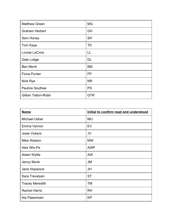| <b>Matthew Green</b>       | <b>MG</b>  |
|----------------------------|------------|
| <b>Graham Herbert</b>      | <b>GH</b>  |
| Sam Honey                  | <b>SH</b>  |
| Tom Kaye                   | <b>TK</b>  |
| Louise LaCroix             | LL         |
| Dale Lodge                 | <b>DL</b>  |
| <b>Ben Monk</b>            | <b>BM</b>  |
| <b>Fiona Punter</b>        | <b>FP</b>  |
| Nick Rye                   | <b>NR</b>  |
| <b>Pauline Southee</b>     | <b>PS</b>  |
| <b>Gillian Tatton-Robb</b> | <b>GTR</b> |

| <b>Name</b>            | Initial to confirm read and understood |
|------------------------|----------------------------------------|
| <b>Michael Usher</b>   | <b>MU</b>                              |
| Emma Vernon            | EV                                     |
| <b>Josie Vickers</b>   | JV                                     |
| Mike Watson            | <b>MW</b>                              |
| Alex Win-Pe            | <b>AWP</b>                             |
| Adam Wyllie            | <b>AW</b>                              |
| Jenny Monk             | <b>JM</b>                              |
| Jane Hopwood           | <b>JH</b>                              |
| Sara Trevelyan         | <b>ST</b>                              |
| <b>Tracey Meredith</b> | <b>TM</b>                              |
| <b>Rachel Harris</b>   | <b>RH</b>                              |
| Kia Pakenham           | <b>KP</b>                              |